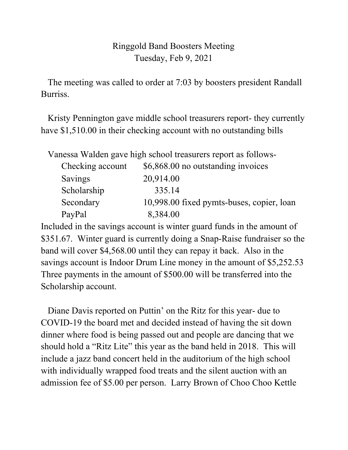## Ringgold Band Boosters Meeting Tuesday, Feb 9, 2021

The meeting was called to order at 7:03 by boosters president Randall Burriss.

Kristy Pennington gave middle school treasurers report- they currently have \$1,510.00 in their checking account with no outstanding bills

|                  | Vanessa Walden gave high school treasurers report as follows- |
|------------------|---------------------------------------------------------------|
| Checking account | \$6,868.00 no outstanding invoices                            |
| Savings          | 20,914.00                                                     |
| Scholarship      | 335.14                                                        |
| Secondary        | 10,998.00 fixed pymts-buses, copier, loan                     |
| PayPal           | 8,384.00                                                      |

Included in the savings account is winter guard funds in the amount of \$351.67. Winter guard is currently doing a Snap-Raise fundraiser so the band will cover \$4,568.00 until they can repay it back. Also in the savings account is Indoor Drum Line money in the amount of \$5,252.53 Three payments in the amount of \$500.00 will be transferred into the Scholarship account.

Diane Davis reported on Puttin' on the Ritz for this year- due to COVID-19 the board met and decided instead of having the sit down dinner where food is being passed out and people are dancing that we should hold a "Ritz Lite" this year as the band held in 2018. This will include a jazz band concert held in the auditorium of the high school with individually wrapped food treats and the silent auction with an admission fee of \$5.00 per person. Larry Brown of Choo Choo Kettle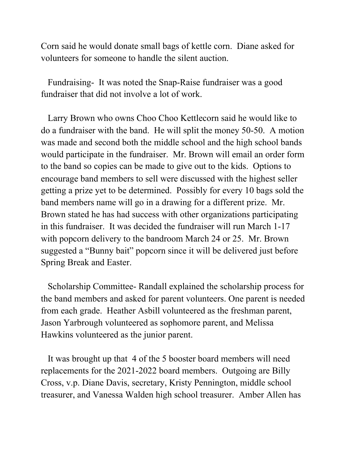Corn said he would donate small bags of kettle corn. Diane asked for volunteers for someone to handle the silent auction.

Fundraising- It was noted the Snap-Raise fundraiser was a good fundraiser that did not involve a lot of work.

Larry Brown who owns Choo Choo Kettlecorn said he would like to do a fundraiser with the band. He will split the money 50-50. A motion was made and second both the middle school and the high school bands would participate in the fundraiser. Mr. Brown will email an order form to the band so copies can be made to give out to the kids. Options to encourage band members to sell were discussed with the highest seller getting a prize yet to be determined. Possibly for every 10 bags sold the band members name will go in a drawing for a different prize. Mr. Brown stated he has had success with other organizations participating in this fundraiser. It was decided the fundraiser will run March 1-17 with popcorn delivery to the bandroom March 24 or 25. Mr. Brown suggested a "Bunny bait" popcorn since it will be delivered just before Spring Break and Easter.

Scholarship Committee- Randall explained the scholarship process for the band members and asked for parent volunteers. One parent is needed from each grade. Heather Asbill volunteered as the freshman parent, Jason Yarbrough volunteered as sophomore parent, and Melissa Hawkins volunteered as the junior parent.

It was brought up that 4 of the 5 booster board members will need replacements for the 2021-2022 board members. Outgoing are Billy Cross, v.p. Diane Davis, secretary, Kristy Pennington, middle school treasurer, and Vanessa Walden high school treasurer. Amber Allen has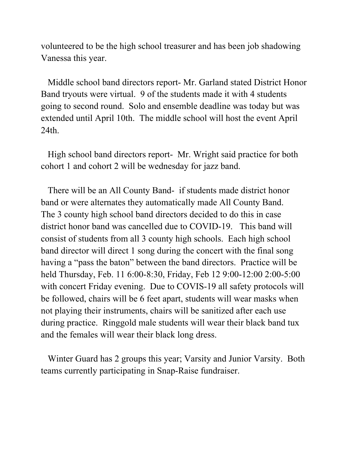volunteered to be the high school treasurer and has been job shadowing Vanessa this year.

Middle school band directors report- Mr. Garland stated District Honor Band tryouts were virtual. 9 of the students made it with 4 students going to second round. Solo and ensemble deadline was today but was extended until April 10th. The middle school will host the event April 24th.

High school band directors report- Mr. Wright said practice for both cohort 1 and cohort 2 will be wednesday for jazz band.

There will be an All County Band- if students made district honor band or were alternates they automatically made All County Band. The 3 county high school band directors decided to do this in case district honor band was cancelled due to COVID-19. This band will consist of students from all 3 county high schools. Each high school band director will direct 1 song during the concert with the final song having a "pass the baton" between the band directors. Practice will be held Thursday, Feb. 11 6:00-8:30, Friday, Feb 12 9:00-12:00 2:00-5:00 with concert Friday evening. Due to COVIS-19 all safety protocols will be followed, chairs will be 6 feet apart, students will wear masks when not playing their instruments, chairs will be sanitized after each use during practice. Ringgold male students will wear their black band tux and the females will wear their black long dress.

Winter Guard has 2 groups this year; Varsity and Junior Varsity. Both teams currently participating in Snap-Raise fundraiser.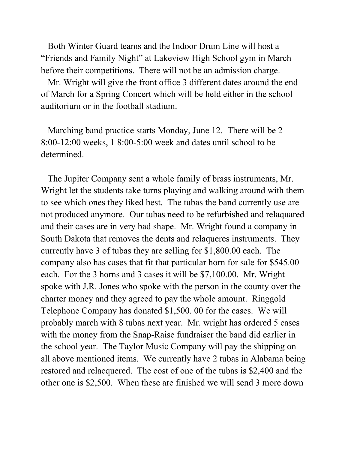Both Winter Guard teams and the Indoor Drum Line will host a "Friends and Family Night" at Lakeview High School gym in March before their competitions. There will not be an admission charge.

Mr. Wright will give the front office 3 different dates around the end of March for a Spring Concert which will be held either in the school auditorium or in the football stadium.

Marching band practice starts Monday, June 12. There will be 2 8:00-12:00 weeks, 1 8:00-5:00 week and dates until school to be determined.

The Jupiter Company sent a whole family of brass instruments, Mr. Wright let the students take turns playing and walking around with them to see which ones they liked best. The tubas the band currently use are not produced anymore. Our tubas need to be refurbished and relaquared and their cases are in very bad shape. Mr. Wright found a company in South Dakota that removes the dents and relaqueres instruments. They currently have 3 of tubas they are selling for \$1,800.00 each. The company also has cases that fit that particular horn for sale for \$545.00 each. For the 3 horns and 3 cases it will be \$7,100.00. Mr. Wright spoke with J.R. Jones who spoke with the person in the county over the charter money and they agreed to pay the whole amount. Ringgold Telephone Company has donated \$1,500. 00 for the cases. We will probably march with 8 tubas next year. Mr. wright has ordered 5 cases with the money from the Snap-Raise fundraiser the band did earlier in the school year. The Taylor Music Company will pay the shipping on all above mentioned items. We currently have 2 tubas in Alabama being restored and relacquered. The cost of one of the tubas is \$2,400 and the other one is \$2,500. When these are finished we will send 3 more down